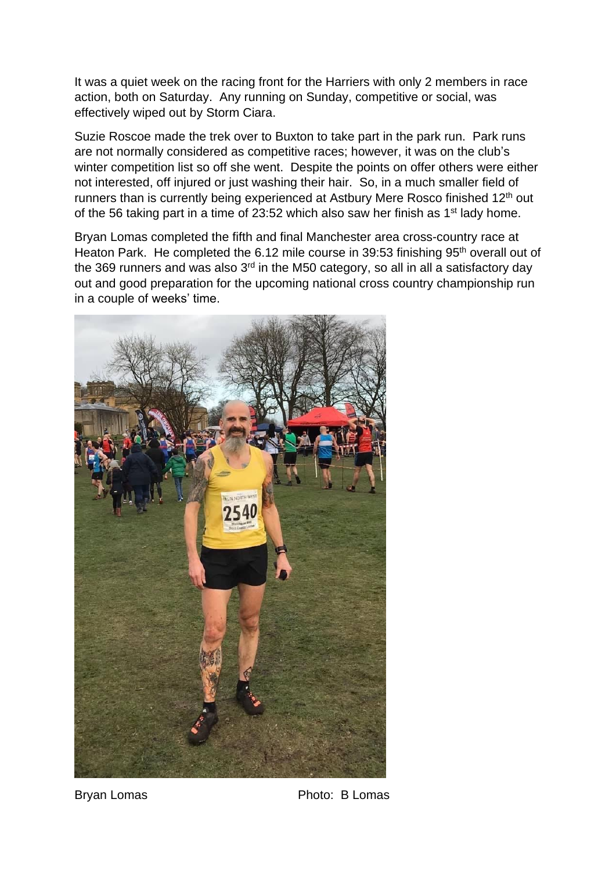It was a quiet week on the racing front for the Harriers with only 2 members in race action, both on Saturday. Any running on Sunday, competitive or social, was effectively wiped out by Storm Ciara.

Suzie Roscoe made the trek over to Buxton to take part in the park run. Park runs are not normally considered as competitive races; however, it was on the club's winter competition list so off she went. Despite the points on offer others were either not interested, off injured or just washing their hair. So, in a much smaller field of runners than is currently being experienced at Astbury Mere Rosco finished 12<sup>th</sup> out of the 56 taking part in a time of 23:52 which also saw her finish as  $1<sup>st</sup>$  lady home.

Bryan Lomas completed the fifth and final Manchester area cross-country race at Heaton Park. He completed the 6.12 mile course in 39:53 finishing 95<sup>th</sup> overall out of the 369 runners and was also  $3<sup>rd</sup>$  in the M50 category, so all in all a satisfactory day out and good preparation for the upcoming national cross country championship run in a couple of weeks' time.



Bryan Lomas **Photo: B Lomas**